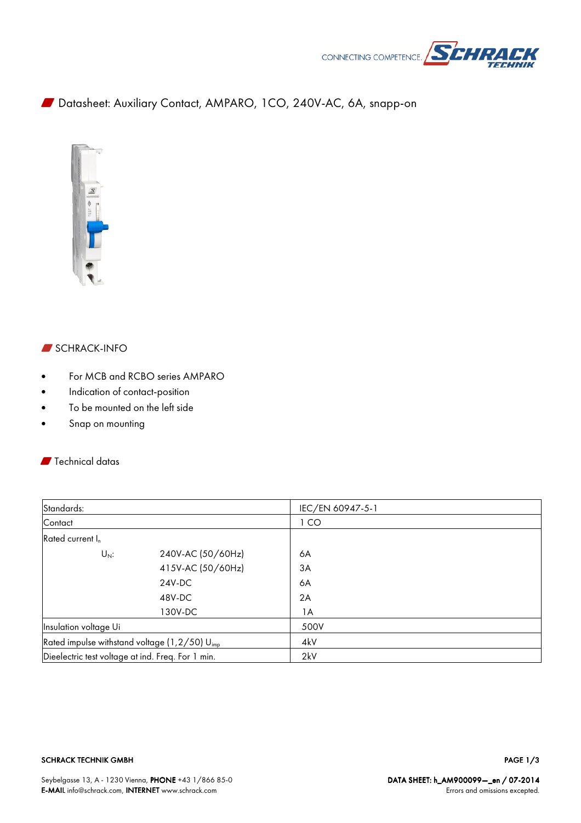

W Datasheet: Auxiliary Contact, AMPARO, 1CO, 240V-AC, 6A, snapp-on



# **SCHRACK-INFO**

- For MCB and RCBO series AMPARO
- Indication of contact-position
- To be mounted on the left side
- Snap on mounting

## **W** Technical datas

| Standards:                                                |                   | IEC/EN 60947-5-1 |
|-----------------------------------------------------------|-------------------|------------------|
| Contact                                                   |                   | 1 <sub>CO</sub>  |
| Rated current I <sub>n</sub>                              |                   |                  |
| $U_N$ :                                                   | 240V-AC (50/60Hz) | 6A               |
|                                                           | 415V-AC (50/60Hz) | 3A               |
|                                                           | 24V-DC            | 6A               |
|                                                           | 48V-DC            | 2A               |
|                                                           | 130V-DC           | 1A               |
| Insulation voltage Ui                                     |                   | 500V             |
| Rated impulse withstand voltage (1,2/50) U <sub>imp</sub> |                   | 4kV              |
| Dieelectric test voltage at ind. Freq. For 1 min.         |                   | 2kV              |

#### SCHRACK TECHNIK GMBH

PAGE 1/3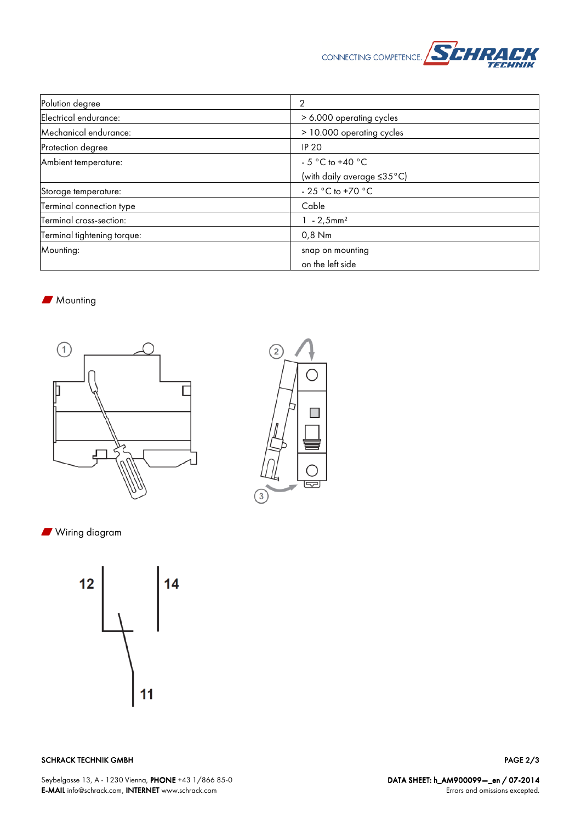

| Polution degree             | 2                                     |
|-----------------------------|---------------------------------------|
| Electrical endurance:       | > 6.000 operating cycles              |
| Mechanical endurance:       | > 10.000 operating cycles             |
| Protection degree           | <b>IP 20</b>                          |
| Ambient temperature:        | - 5 °C to +40 °C                      |
|                             | (with daily average ≤35°C)            |
| Storage temperature:        | - 25 $^{\circ}$ C to +70 $^{\circ}$ C |
| Terminal connection type    | Cable                                 |
| Terminal cross-section:     | $1 - 2,5$ mm <sup>2</sup>             |
| Terminal tightening torque: | $0,8$ Nm                              |
| Mounting:                   | snap on mounting                      |
|                             | on the left side                      |

### **Mounting**





**N** Wiring diagram



SCHRACK TECHNIK GMBH